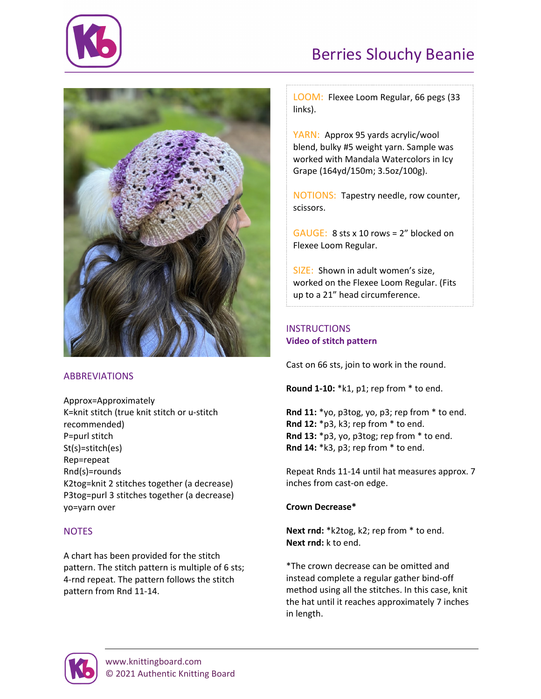

# Berries Slouchy Beanie



### **ABBREVIATIONS**

Approx=Approximately K=knit stitch (true knit stitch or u-stitch recommended) P=purl stitch St(s)=stitch(es) Rep=repeat Rnd(s)=rounds K2tog=knit 2 stitches together (a decrease) P3tog=purl 3 stitches together (a decrease) yo=yarn over

### **NOTES**

A chart has been provided for the stitch pattern. The stitch pattern is multiple of 6 sts; 4-rnd repeat. The pattern follows the stitch pattern from Rnd 11-14.

LOOM: Flexee Loom Regular, 66 pegs (33 links).

YARN: Approx 95 yards acrylic/wool blend, bulky #5 weight yarn. Sample was worked with Mandala Watercolors in Icy Grape (164yd/150m; 3.5oz/100g).

NOTIONS: Tapestry needle, row counter, scissors.

GAUGE: 8 sts x 10 rows = 2" blocked on Flexee Loom Regular.

SIZE: Shown in adult women's size, worked on the Flexee Loom Regular. (Fits up to a 21" head circumference.

## **INSTRUCTIONS [Video of stitch pattern](https://www.knittingboard.com/berries-lace-pattern/)**

Cast on 66 sts, join to work in the round.

**Round 1-10:** \*k1, p1; rep from \* to end.

**Rnd 11:** \*yo, p3tog, yo, p3; rep from \* to end. **Rnd 12:** \*p3, k3; rep from \* to end. **Rnd 13:** \*p3, yo, p3tog; rep from \* to end. **Rnd 14:** \*k3, p3; rep from \* to end.

Repeat Rnds 11-14 until hat measures approx. 7 inches from cast-on edge.

### **Crown Decrease\***

**Next rnd:** \*k2tog, k2; rep from \* to end. **Next rnd:** k to end.

\*The crown decrease can be omitted and instead complete a regular gather bind-off method using all the stitches. In this case, knit the hat until it reaches approximately 7 inches in length.